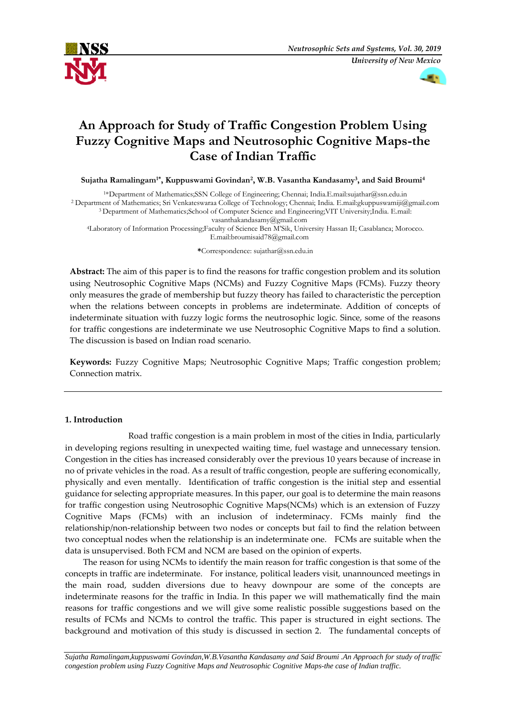



# **An Approach for Study of Traffic Congestion Problem Using Fuzzy Cognitive Maps and Neutrosophic Cognitive Maps-the Case of Indian Traffic**

**Sujatha Ramalingam1\* , Kuppuswami Govindan<sup>2</sup> , W.B. Vasantha Kandasamy<sup>3</sup> , and Said Broumi<sup>4</sup>**

\*Department of Mathematics;SSN College of Engineering; Chennai; India.E.mail:sujathar@ssn.edu.in Department of Mathematics; Sri Venkateswaraa College of Technology; Chennai; India. E.mai[l:gkuppuswamiji@gmail.com](mailto:gkuppuswamiji@gmail.com) Department of Mathematics;School of Computer Science and Engineering;VIT University;India. E.mail: [vasanthakandasamy@gmail.com](mailto:vasanthakandasamy@gmail.com)

<sup>4</sup>Laboratory of Information Processing;Faculty of Science Ben M'Sik, University Hassan II; Casablanca; Morocco. E.mail[:broumisaid78@gmail.com](mailto:broumisaid78@gmail.com)

**\***Correspondence[: sujathar@ssn.edu.in](mailto:sujathar@ssn.edu.in)

**Abstract:** The aim of this paper is to find the reasons for traffic congestion problem and its solution using Neutrosophic Cognitive Maps (NCMs) and Fuzzy Cognitive Maps (FCMs). Fuzzy theory only measures the grade of membership but fuzzy theory has failed to characteristic the perception when the relations between concepts in problems are indeterminate. Addition of concepts of indeterminate situation with fuzzy logic forms the neutrosophic logic. Since, some of the reasons for traffic congestions are indeterminate we use Neutrosophic Cognitive Maps to find a solution. The discussion is based on Indian road scenario.

**Keywords:** Fuzzy Cognitive Maps; Neutrosophic Cognitive Maps; Traffic congestion problem; Connection matrix.

## **1. Introduction**

 Road traffic congestion is a main problem in most of the cities in India, particularly in developing regions resulting in unexpected waiting time, fuel wastage and unnecessary tension. Congestion in the cities has increased considerably over the previous 10 years because of increase in no of private vehicles in the road. As a result of traffic congestion, people are suffering economically, physically and even mentally. Identification of traffic congestion is the initial step and essential guidance for selecting appropriate measures. In this paper, our goal is to determine the main reasons for traffic congestion using Neutrosophic Cognitive Maps(NCMs) which is an extension of Fuzzy Cognitive Maps (FCMs) with an inclusion of indeterminacy. FCMs mainly find the relationship/non-relationship between two nodes or concepts but fail to find the relation between two conceptual nodes when the relationship is an indeterminate one. FCMs are suitable when the data is unsupervised. Both FCM and NCM are based on the opinion of experts.

The reason for using NCMs to identify the main reason for traffic congestion is that some of the concepts in traffic are indeterminate. For instance, political leaders visit, unannounced meetings in the main road, sudden diversions due to heavy downpour are some of the concepts are indeterminate reasons for the traffic in India. In this paper we will mathematically find the main reasons for traffic congestions and we will give some realistic possible suggestions based on the results of FCMs and NCMs to control the traffic. This paper is structured in eight sections. The background and motivation of this study is discussed in section 2. The fundamental concepts of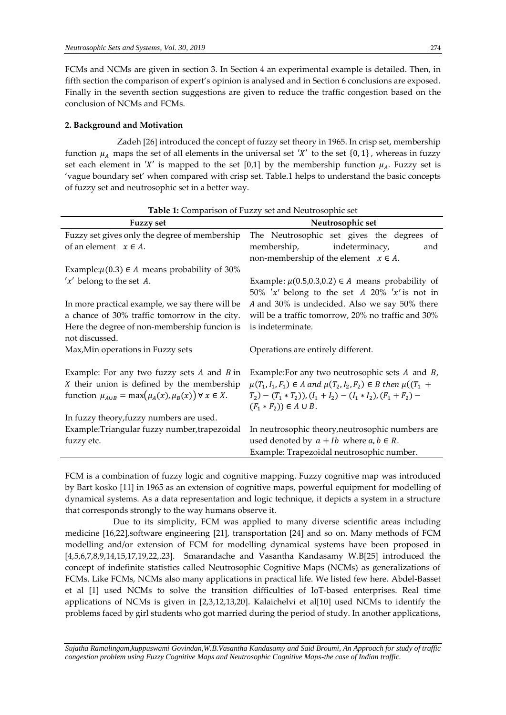FCMs and NCMs are given in section 3. In Section 4 an experimental example is detailed. Then, in fifth section the comparison of expert's opinion is analysed and in Section 6 conclusions are exposed. Finally in the seventh section suggestions are given to reduce the traffic congestion based on the conclusion of NCMs and FCMs.

## **2. Background and Motivation**

 Zadeh [26] introduced the concept of fuzzy set theory in 1965. In crisp set, membership function  $\mu_A$  maps the set of all elements in the universal set 'X' to the set  $\{0, 1\}$ , whereas in fuzzy set each element in 'X' is mapped to the set [0,1] by the membership function  $\mu_A$ . Fuzzy set is 'vague boundary set' when compared with crisp set. Table.1 helps to understand the basic concepts of fuzzy set and neutrosophic set in a better way.

| <b>Fuzzy set</b>                                                      | Neutrosophic set                                                            |  |  |  |
|-----------------------------------------------------------------------|-----------------------------------------------------------------------------|--|--|--|
| Fuzzy set gives only the degree of membership                         | The Neutrosophic set gives the degrees of                                   |  |  |  |
| of an element $x \in A$ .                                             | membership,<br>indeterminacy,<br>and                                        |  |  |  |
|                                                                       | non-membership of the element $x \in A$ .                                   |  |  |  |
| Example: $\mu$ (0.3) $\in$ A means probability of 30%                 |                                                                             |  |  |  |
| $'x'$ belong to the set A.                                            | Example: $\mu$ (0.5,0.3,0.2) $\in$ A means probability of                   |  |  |  |
|                                                                       | 50% 'x' belong to the set A 20% 'x' is not in                               |  |  |  |
| In more practical example, we say there will be                       | A and 30% is undecided. Also we say 50% there                               |  |  |  |
| a chance of 30% traffic tomorrow in the city.                         | will be a traffic tomorrow, 20% no traffic and 30%                          |  |  |  |
| Here the degree of non-membership funcion is                          | is indeterminate.                                                           |  |  |  |
| not discussed.                                                        |                                                                             |  |  |  |
| Max, Min operations in Fuzzy sets                                     | Operations are entirely different.                                          |  |  |  |
|                                                                       |                                                                             |  |  |  |
| Example: For any two fuzzy sets $A$ and $B$ in                        | Example: For any two neutrosophic sets $A$ and $B$ ,                        |  |  |  |
| $X$ their union is defined by the membership                          | $\mu(T_1, I_1, F_1) \in A$ and $\mu(T_2, I_2, F_2) \in B$ then $\mu((T_1 +$ |  |  |  |
| function $\mu_{A\cup B} = \max(\mu_A(x), \mu_B(x)) \forall x \in X$ . | $(T_2)-(T_1*T_2)$ , $(I_1+I_2)-(I_1*I_2)$ , $(F_1+F_2)$                     |  |  |  |
|                                                                       | $(F_1 * F_2) \in A \cup B$ .                                                |  |  |  |
| In fuzzy theory, fuzzy numbers are used.                              |                                                                             |  |  |  |
| Example:Triangular fuzzy number, trapezoidal                          | In neutrosophic theory, neutrosophic numbers are                            |  |  |  |
| fuzzy etc.                                                            | used denoted by $a + Ib$ where $a, b \in R$ .                               |  |  |  |
|                                                                       | Example: Trapezoidal neutrosophic number.                                   |  |  |  |

|  |  |  |  |  |  |  |  |  | <b>Table 1:</b> Comparison of Fuzzy set and Neutrosophic set |  |  |
|--|--|--|--|--|--|--|--|--|--------------------------------------------------------------|--|--|
|--|--|--|--|--|--|--|--|--|--------------------------------------------------------------|--|--|

FCM is a combination of fuzzy logic and cognitive mapping. Fuzzy cognitive map was introduced by Bart kosko [11] in 1965 as an extension of cognitive maps, powerful equipment for modelling of dynamical systems. As a data representation and logic technique, it depicts a system in a structure that corresponds strongly to the way humans observe it.

 Due to its simplicity, FCM was applied to many diverse scientific areas including medicine [16,22],software engineering [21], transportation [24] and so on. Many methods of FCM modelling and/or extension of FCM for modelling dynamical systems have been proposed in [4,5,6,7,8,9,14,15,17,19,22,.23]. Smarandache and Vasantha Kandasamy W.B[25] introduced the concept of indefinite statistics called Neutrosophic Cognitive Maps (NCMs) as generalizations of FCMs. Like FCMs, NCMs also many applications in practical life. We listed few here. Abdel-Basset et al [1] used NCMs to solve the transition difficulties of IoT-based enterprises. Real time applications of NCMs is given in [2,3,12,13,20]. Kalaichelvi et al[10] used NCMs to identify the problems faced by girl students who got married during the period of study. In another applications,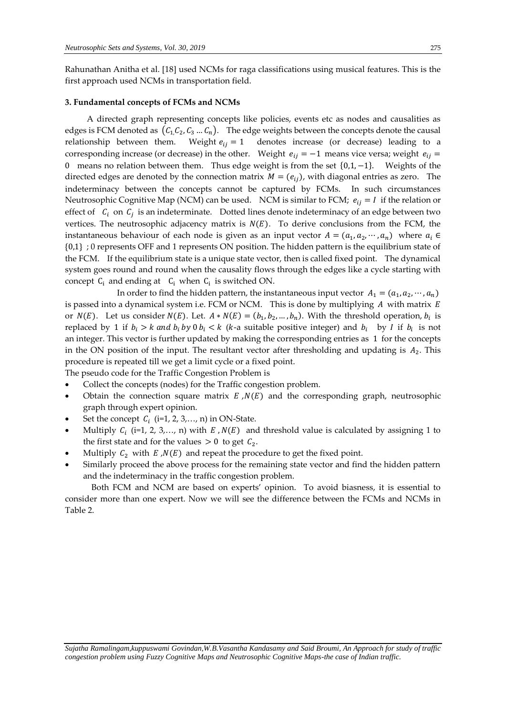Rahunathan Anitha et al. [18] used NCMs for raga classifications using musical features. This is the first approach used NCMs in transportation field.

#### **3. Fundamental concepts of FCMs and NCMs**

A directed graph representing concepts like policies, events etc as nodes and causalities as edges is FCM denoted as  $(c_1,c_2,c_3...c_n)$ . The edge weights between the concepts denote the causal relationship between them. Weight  $e_{ij} = 1$  denotes increase (or decrease) leading to a corresponding increase (or decrease) in the other. Weight  $e_{ij} = -1$  means vice versa; weight  $e_{ij} =$ 0 means no relation between them. Thus edge weight is from the set {0,1,−1}. Weights of the directed edges are denoted by the connection matrix  $M = (e_{ij})$ , with diagonal entries as zero. The indeterminacy between the concepts cannot be captured by FCMs. In such circumstances Neutrosophic Cognitive Map (NCM) can be used. NCM is similar to FCM;  $e_{ij} = I$  if the relation or effect of  $C_i$  on  $C_j$  is an indeterminate. Dotted lines denote indeterminacy of an edge between two vertices. The neutrosophic adjacency matrix is  $N(E)$ . To derive conclusions from the FCM, the instantaneous behaviour of each node is given as an input vector  $A = (a_1, a_2, \dots, a_n)$  where  $a_i \in$ {0,1} ; 0 represents OFF and 1 represents ON position. The hidden pattern is the equilibrium state of the FCM. If the equilibrium state is a unique state vector, then is called fixed point. The dynamical system goes round and round when the causality flows through the edges like a cycle starting with concept  $C_i$  and ending at  $C_i$  when  $C_i$  is switched ON.

In order to find the hidden pattern, the instantaneous input vector  $A_1 = (a_1, a_2, \dots, a_n)$ is passed into a dynamical system i.e. FCM or NCM. This is done by multiplying  $A$  with matrix  $E$ or  $N(E)$ . Let us consider  $N(E)$ . Let.  $A * N(E) = (b_1, b_2, ..., b_n)$ . With the threshold operation,  $b_i$  is replaced by 1 if  $b_i > k$  and  $b_i$  by 0  $b_i < k$  (k-a suitable positive integer) and  $b_i$  by I if  $b_i$  is not an integer. This vector is further updated by making the corresponding entries as 1 for the concepts in the ON position of the input. The resultant vector after thresholding and updating is  $A_2$ . This procedure is repeated till we get a limit cycle or a fixed point.

The pseudo code for the Traffic Congestion Problem is

- Collect the concepts (nodes) for the Traffic congestion problem.
- Obtain the connection square matrix  $E, N(E)$  and the corresponding graph, neutrosophic graph through expert opinion.
- Set the concept  $C_i$  (i=1, 2, 3,..., n) in ON-State.
- Multiply  $C_i$  (i=1, 2, 3,..., n) with  $E$ ,  $N(E)$  and threshold value is calculated by assigning 1 to the first state and for the values  $> 0$  to get  $C_2$ .
- Multiply  $C_2$  with  $E/N(E)$  and repeat the procedure to get the fixed point.
- Similarly proceed the above process for the remaining state vector and find the hidden pattern and the indeterminacy in the traffic congestion problem.

 Both FCM and NCM are based on experts' opinion. To avoid biasness, it is essential to consider more than one expert. Now we will see the difference between the FCMs and NCMs in Table 2.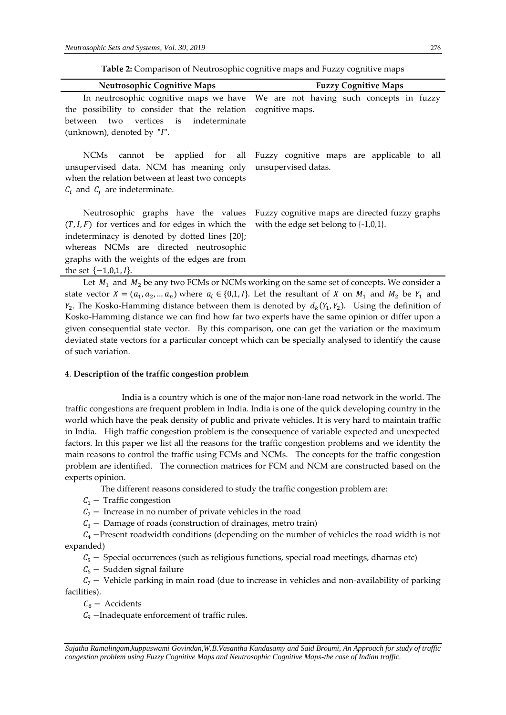| <b>Neutrosophic Cognitive Maps</b>                                                                                                                                  | <b>Fuzzy Cognitive Maps</b>                                                                                |  |  |
|---------------------------------------------------------------------------------------------------------------------------------------------------------------------|------------------------------------------------------------------------------------------------------------|--|--|
| the possibility to consider that the relation cognitive maps.                                                                                                       | In neutrosophic cognitive maps we have We are not having such concepts in fuzzy                            |  |  |
| between two vertices is indeterminate                                                                                                                               |                                                                                                            |  |  |
| (unknown), denoted by "I".                                                                                                                                          |                                                                                                            |  |  |
| <b>NCMs</b><br>unsupervised data. NCM has meaning only unsupervised datas.<br>when the relation between at least two concepts<br>$C_i$ and $C_i$ are indeterminate. | cannot be applied for all Fuzzy cognitive maps are applicable to all                                       |  |  |
| Neutrosophic graphs have the values                                                                                                                                 | Fuzzy cognitive maps are directed fuzzy graphs                                                             |  |  |
| $(T, I, F)$ for vertices and for edges in which the                                                                                                                 | with the edge set belong to $\{-1,0,1\}$ .                                                                 |  |  |
| indeterminacy is denoted by dotted lines [20];<br>whereas NCMs are directed neutrosophic                                                                            |                                                                                                            |  |  |
| graphs with the weights of the edges are from                                                                                                                       |                                                                                                            |  |  |
| the set $\{-1,0,1,1\}$ .                                                                                                                                            |                                                                                                            |  |  |
|                                                                                                                                                                     | Let $M_{\rm t}$ and $M_{\rm p}$ be any two FCMs or NCMs working on the same set of concepts. We consider a |  |  |

 $\rm \eta_{2}$  be any two FCMs or NCMs working of state vector  $X = (a_1, a_2, \dots a_n)$  where  $a_i \in \{0, 1, I\}$ . Let the resultant of X on  $M_1$  and  $M_2$  be  $Y_1$  and  $Y_2$ . The Kosko-Hamming distance between them is denoted by  $d_k(Y_1, Y_2)$ . Using the definition of Kosko-Hamming distance we can find how far two experts have the same opinion or differ upon a given consequential state vector. By this comparison, one can get the variation or the maximum deviated state vectors for a particular concept which can be specially analysed to identify the cause of such variation.

#### **4**. **Description of the traffic congestion problem**

India is a country which is one of the major non-lane road network in the world. The traffic congestions are frequent problem in India. India is one of the quick developing country in the world which have the peak density of public and private vehicles. It is very hard to maintain traffic in India. High traffic congestion problem is the consequence of variable expected and unexpected factors. In this paper we list all the reasons for the traffic congestion problems and we identity the main reasons to control the traffic using FCMs and NCMs. The concepts for the traffic congestion problem are identified. The connection matrices for FCM and NCM are constructed based on the experts opinion.

The different reasons considered to study the traffic congestion problem are:

 $C_1$  – Traffic congestion

 $C_2$  – Increase in no number of private vehicles in the road

 $C_3$  – Damage of roads (construction of drainages, metro train)

 $C_4$  –Present roadwidth conditions (depending on the number of vehicles the road width is not expanded)

 $C_5$  – Special occurrences (such as religious functions, special road meetings, dharnas etc)

 $C_6$  – Sudden signal failure

 $C_7$  – Vehicle parking in main road (due to increase in vehicles and non-availability of parking facilities).

 $C_8$  – Accidents

 $C_9$  –Inadequate enforcement of traffic rules.

*Sujatha Ramalingam,kuppuswami Govindan,W.B.Vasantha Kandasamy and Said Broumi, An Approach for study of traffic congestion problem using Fuzzy Cognitive Maps and Neutrosophic Cognitive Maps-the case of Indian traffic.*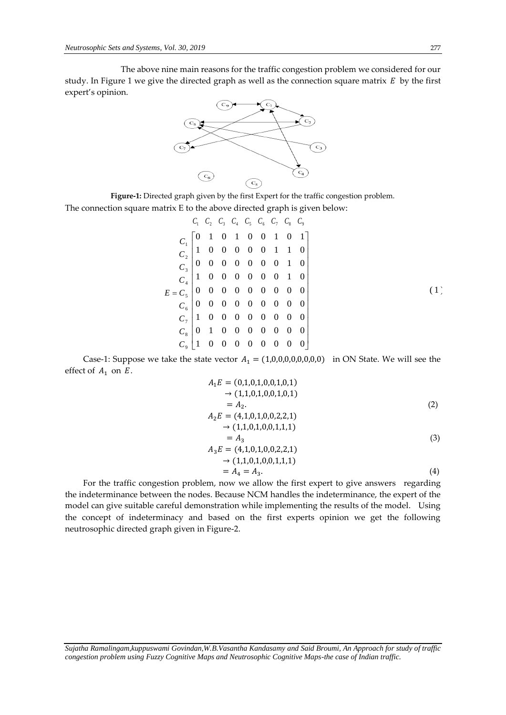The above nine main reasons for the traffic congestion problem we considered for our study. In Figure 1 we give the directed graph as well as the connection square matrix  $E$  by the first expert's opinion.



**Figure-1:** Directed graph given by the first Expert for the traffic congestion problem. The connection square matrix E to the above directed graph is given below:

$$
C_1 \ C_2 \ C_3 \ C_4 \ C_5 \ C_6 \ C_7 \ C_8 \ C_9
$$
\n
$$
C_1 \begin{bmatrix} 0 & 1 & 0 & 1 & 0 & 0 & 1 & 0 & 1 \\ 1 & 0 & 0 & 0 & 0 & 0 & 1 & 1 & 0 \\ 0 & 0 & 0 & 0 & 0 & 0 & 1 & 1 & 0 \\ 0 & 0 & 0 & 0 & 0 & 0 & 0 & 1 & 0 \\ 1 & 0 & 0 & 0 & 0 & 0 & 0 & 1 & 0 \\ 0 & 0 & 0 & 0 & 0 & 0 & 0 & 0 & 0 \\ 0 & 0 & 0 & 0 & 0 & 0 & 0 & 0 & 0 \\ 0 & 0 & 0 & 0 & 0 & 0 & 0 & 0 & 0 \\ 0 & 0 & 0 & 0 & 0 & 0 & 0 & 0 & 0 \\ 0 & 0 & 0 & 0 & 0 & 0 & 0 & 0 & 0 \\ 0 & 0 & 0 & 0 & 0 & 0 & 0 & 0 & 0 \\ 0 & 0 & 0 & 0 & 0 & 0 & 0 & 0 & 0 \end{bmatrix}
$$
\n
$$
(1)
$$

Case-1: Suppose we take the state vector  $A_1 = (1,0,0,0,0,0,0,0,0)$  in ON State. We will see the effect of  $A_1$  on  $E$ .

$$
A_1E = (0,1,0,1,0,0,1,0,1)
$$
  
\n
$$
\rightarrow (1,1,0,1,0,0,1,0,1)
$$
  
\n
$$
= A_2.
$$
  
\n
$$
A_2E = (4,1,0,1,0,0,2,2,1)
$$
  
\n
$$
\rightarrow (1,1,0,1,0,0,1,1,1)
$$
  
\n
$$
= A_3
$$
  
\n
$$
A_3E = (4,1,0,1,0,0,2,2,1)
$$
  
\n
$$
\rightarrow (1,1,0,1,0,0,1,1,1)
$$
  
\n
$$
= A_4 = A_3.
$$
  
\n(4)

For the traffic congestion problem, now we allow the first expert to give answers regarding the indeterminance between the nodes. Because NCM handles the indeterminance, the expert of the model can give suitable careful demonstration while implementing the results of the model. Using the concept of indeterminacy and based on the first experts opinion we get the following neutrosophic directed graph given in Figure-2.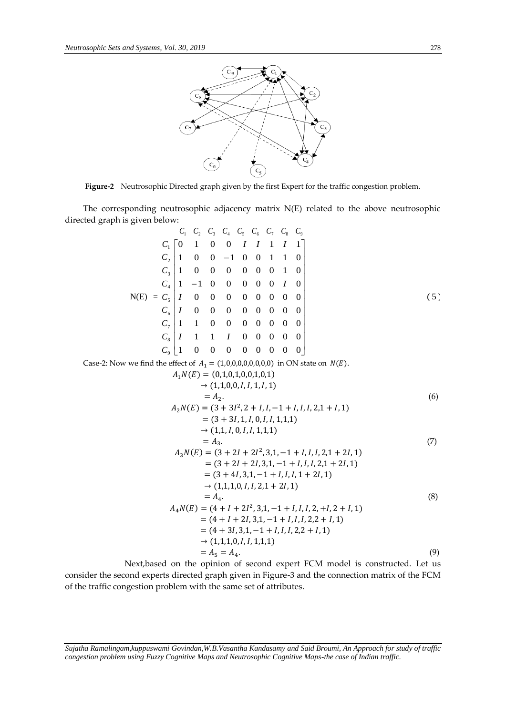Case-2: Now



**Figure-2** Neutrosophic Directed graph given by the first Expert for the traffic congestion problem.

The corresponding neutrosophic adjacency matrix N(E) related to the above neutrosophic directed graph is given below:

C<sub>1</sub> C<sub>2</sub> C<sub>3</sub> C<sub>4</sub> C<sub>5</sub> C<sub>6</sub> C<sub>7</sub> C<sub>8</sub> C<sub>9</sub>  
\nC<sub>1</sub> 
$$
\begin{bmatrix}\n0 & 1 & 0 & 0 & 1 & 1 & 1 & 1 & 1 \\
0 & 1 & 0 & 0 & -1 & 0 & 0 & 1 & 1 & 0 \\
0 & 1 & 0 & 0 & 0 & 0 & 0 & 0 & 1 & 0 \\
0 & 1 & -1 & 0 & 0 & 0 & 0 & 0 & 0 & 0 \\
0 & 1 & -1 & 0 & 0 & 0 & 0 & 0 & 0 & 0 \\
0 & 0 & 0 & 0 & 0 & 0 & 0 & 0 & 0 \\
0 & 0 & 0 & 0 & 0 & 0 & 0 & 0 & 0 \\
0 & 0 & 0 & 0 & 0 & 0 & 0 & 0 & 0 \\
0 & 0 & 0 & 0 & 0 & 0 & 0 & 0 & 0 \\
0 & 0 & 0 & 0 & 0 & 0 & 0 & 0 & 0 \\
0 & 0 & 0 & 0 & 0 & 0 & 0 & 0 & 0\n\end{bmatrix}
$$
  
\nCase-2: Now we find the effect of  $A_1 = (1,0,0,0,0,0,0,0)$  in ON state on  $N(E)$ .  
\n $A_1N(E) = (0,1,0,1,0,0,1,0,1)$   
\n $\rightarrow (1,1,0,0,1,1,0,1)$   
\n $= A_2$ .  
\n $A_2N(E) = (3 + 3I^2, 2 + I, I, -1 + I, I, I, 2, 1 + I, 1)$   
\n $= (3 + 3I, 1, I, 0, I, 1, 1, 1)$   
\n $= (1,1,1,0,1,1,1,1)$   
\n $= (3 + 2I + 2I^2, 3, 1, -1 + I, I, I, 2, 1 + 2I, 1)$   
\n $= (3 + 2I, 3, 1, -1 + I, I, I, 2, 1 + 2I, 1)$   
\n $= (3 + 4I, 3, 1, -1 + I, I, I, 2, 1 + 2I, 1)$ 

 Next,based on the opinion of second expert FCM model is constructed. Let us consider the second experts directed graph given in Figure-3 and the connection matrix of the FCM of the traffic congestion problem with the same set of attributes.

*Sujatha Ramalingam,kuppuswami Govindan,W.B.Vasantha Kandasamy and Said Broumi, An Approach for study of traffic congestion problem using Fuzzy Cognitive Maps and Neutrosophic Cognitive Maps-the case of Indian traffic.*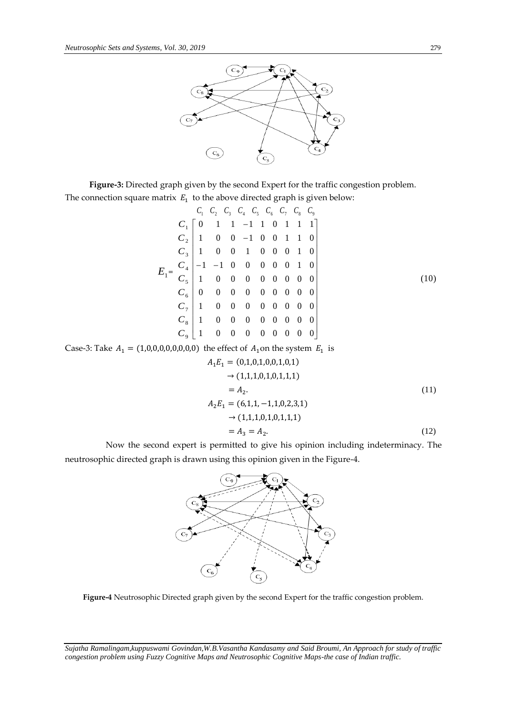

**Figure-3:** Directed graph given by the second Expert for the traffic congestion problem. The connection square matrix  $E_1$  to the above directed graph is given below:

$$
E_1 = \begin{bmatrix} C_1 & C_2 & C_3 & C_4 & C_5 & C_6 & C_7 & C_8 & C_9 \ C_1 & 0 & 1 & 1 & -1 & 1 & 0 & 1 & 1 & 1 \ C_2 & 1 & 0 & 0 & -1 & 0 & 0 & 1 & 1 & 0 \ C_3 & 1 & 0 & 0 & 1 & 0 & 0 & 0 & 1 & 0 \ C_4 & -1 & -1 & 0 & 0 & 0 & 0 & 0 & 1 & 0 \ C_5 & 1 & 0 & 0 & 0 & 0 & 0 & 0 & 0 & 0 \ C_6 & 0 & 0 & 0 & 0 & 0 & 0 & 0 & 0 & 0 \ C_7 & 1 & 0 & 0 & 0 & 0 & 0 & 0 & 0 & 0 \ C_8 & 1 & 0 & 0 & 0 & 0 & 0 & 0 & 0 & 0 \ C_9 & 1 & 0 & 0 & 0 & 0 & 0 & 0 & 0 & 0 \end{bmatrix}
$$
\n(10)

Case-3: Take  $A_1 = (1, 0, 0, 0, 0, 0, 0, 0)$  the effect of  $A_1$  on the system  $E_1$  is

$$
A_1E_1 = (0,1,0,1,0,0,1,0,1)
$$
  
\n
$$
\rightarrow (1,1,1,0,1,0,1,1,1)
$$
  
\n
$$
= A_2.
$$
  
\n
$$
A_2E_1 = (6,1,1,-1,1,0,2,3,1)
$$
  
\n
$$
\rightarrow (1,1,1,0,1,0,1,1,1)
$$
  
\n
$$
= A_3 = A_2.
$$
  
\n(12)

 Now the second expert is permitted to give his opinion including indeterminacy. The neutrosophic directed graph is drawn using this opinion given in the Figure-4.



**Figure-4** Neutrosophic Directed graph given by the second Expert for the traffic congestion problem.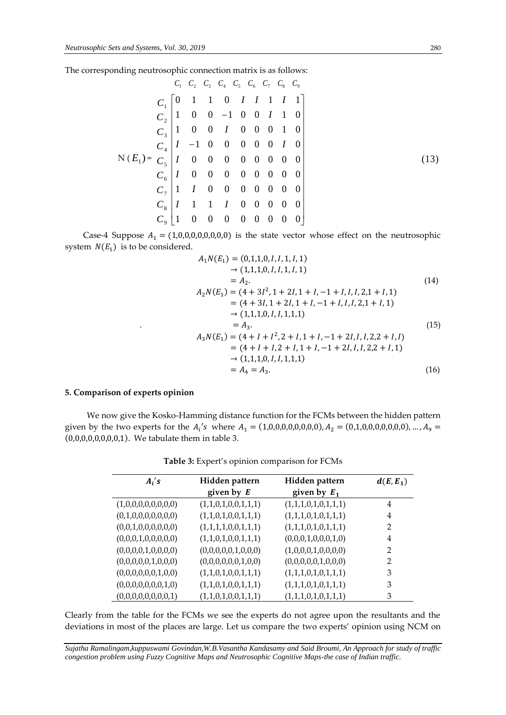The corresponding neutrosophic connection matrix is as follows:

$$
C_1 \ C_2 \ C_3 \ C_4 \ C_5 \ C_6 \ C_7 \ C_8 \ C_9
$$
\n
$$
C_1 \begin{bmatrix} 0 & 1 & 1 & 0 & 1 & 1 & 1 & 1 & 1 \\ 0 & 0 & 1 & 1 & 0 & 1 & 1 & 0 & 1 \\ 0 & 0 & 0 & 1 & 0 & 0 & 1 & 1 & 0 \\ 0 & 0 & 1 & 0 & 0 & 0 & 1 & 0 & 0 \\ 0 & 0 & 0 & 0 & 0 & 0 & 0 & 1 & 0 \\ 0 & 0 & 0 & 0 & 0 & 0 & 0 & 0 & 0 \\ 0 & 0 & 0 & 0 & 0 & 0 & 0 & 0 & 0 \\ 0 & 0 & 0 & 0 & 0 & 0 & 0 & 0 & 0 \\ 0 & 0 & 0 & 0 & 0 & 0 & 0 & 0 & 0 \\ 0 & 0 & 0 & 0 & 0 & 0 & 0 & 0 & 0 \\ 0 & 0 & 0 & 0 & 0 & 0 & 0 & 0 & 0 \end{bmatrix}
$$
\n
$$
(13)
$$
\n
$$
C_3 \begin{bmatrix} 1 & 1 & 1 & 1 & 0 & 0 & 0 & 0 & 0 & 0 \\ 1 & 1 & 1 & 1 & 1 & 0 & 0 & 0 & 0 & 0 \\ 1 & 0 & 0 & 0 & 0 & 0 & 0 & 0 & 0 \\ 0 & 0 & 0 & 0 & 0 & 0 & 0 & 0 \end{bmatrix}
$$

Case-4 Suppose  $A_1 = (1,0,0,0,0,0,0,0,0)$  is the state vector whose effect on the neutrosophic system  $N(E_1)$  is to be considered.

$$
A_1N(E_1) = (0,1,1,0,1,1,1,1,1)
$$
  
\n
$$
\rightarrow (1,1,1,0,1,1,1,1,1)
$$
  
\n
$$
= A_2.
$$
  
\n
$$
A_2N(E_1) = (4 + 3I^2, 1 + 2I, 1 + I, -1 + I, I, I, 2, 1 + I, 1)
$$
  
\n
$$
= (4 + 3I, 1 + 2I, 1 + I, -1 + I, I, I, 2, 1 + I, 1)
$$
  
\n
$$
\rightarrow (1,1,1,0,1,1,1,1,1)
$$
  
\n
$$
= A_3.
$$
  
\n
$$
A_3N(E_1) = (4 + I + I^2, 2 + I, 1 + I, -1 + 2I, I, I, 2, 2 + I, I)
$$
  
\n
$$
= (4 + I + I, 2 + I, 1 + I, -1 + 2I, I, I, 2, 2 + I, 1)
$$
  
\n
$$
\rightarrow (1,1,1,0,1,1,1,1,1)
$$
  
\n
$$
= A_4 = A_3.
$$
  
\n(16)

## **5. Comparison of experts opinion**

We now give the Kosko-Hamming distance function for the FCMs between the hidden pattern given by the two experts for the  $A_i$ 's where  $A_1 = (1,0,0,0,0,0,0,0)$ ,  $A_2 = (0,1,0,0,0,0,0,0,0)$ , ...,  $A_9 =$ (0,0,0,0,0,0,0,0,1). We tabulate them in table 3.

| $A_i$ 's            | Hidden pattern      | Hidden pattern      | $d(E, E_1)$    |
|---------------------|---------------------|---------------------|----------------|
|                     | given by $E$        | given by $E_1$      |                |
| (1,0,0,0,0,0,0,0,0) | (1,1,0,1,0,0,1,1,1) | (1,1,1,0,1,0,1,1,1) | 4              |
| (0,1,0,0,0,0,0,0,0) | (1,1,0,1,0,0,1,1,1) | (1,1,1,0,1,0,1,1,1) | 4              |
| (0,0,1,0,0,0,0,0,0) | (1,1,1,1,0,0,1,1,1) | (1,1,1,0,1,0,1,1,1) | 2              |
| (0,0,0,1,0,0,0,0,0) | (1,1,0,1,0,0,1,1,1) | (0,0,0,1,0,0,0,1,0) | 4              |
| (0,0,0,0,1,0,0,0,0) | (0,0,0,0,0,1,0,0,0) | (1,0,0,0,1,0,0,0,0) | 2              |
| (0,0,0,0,0,1,0,0,0) | (0,0,0,0,0,0,1,0,0) | (0,0,0,0,0,1,0,0,0) | $\overline{2}$ |
| (0,0,0,0,0,0,1,0,0) | (1,1,0,1,0,0,1,1,1) | (1,1,1,0,1,0,1,1,1) | 3              |
| (0,0,0,0,0,0,0,1,0) | (1,1,0,1,0,0,1,1,1) | (1,1,1,0,1,0,1,1,1) | 3              |
| (0,0,0,0,0,0,0,0,1) | (1,1,0,1,0,0,1,1,1) | (1,1,1,0,1,0,1,1,1) | 3              |

**Table 3:** Expert's opinion comparison for FCMs

Clearly from the table for the FCMs we see the experts do not agree upon the resultants and the deviations in most of the places are large. Let us compare the two experts' opinion using NCM on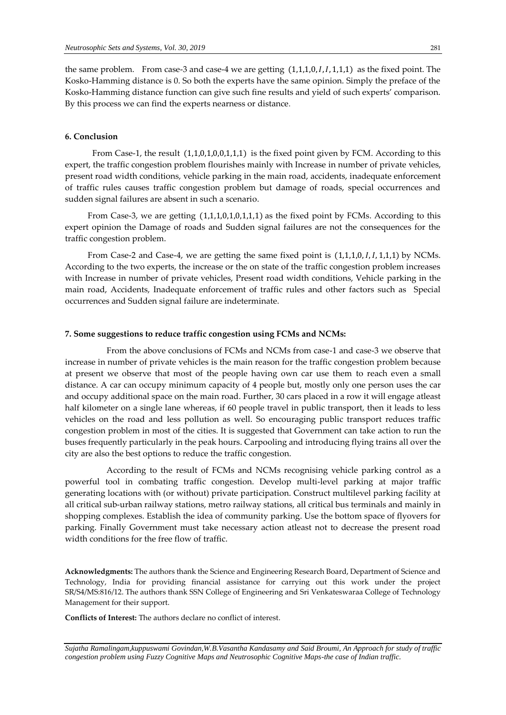the same problem. From case-3 and case-4 we are getting  $(1,1,1,0,1,1,1,1)$  as the fixed point. The Kosko-Hamming distance is 0. So both the experts have the same opinion. Simply the preface of the Kosko-Hamming distance function can give such fine results and yield of such experts' comparison. By this process we can find the experts nearness or distance.

## **6. Conclusion**

From Case-1, the result  $(1,1,0,1,0,0,1,1,1)$  is the fixed point given by FCM. According to this expert, the traffic congestion problem flourishes mainly with Increase in number of private vehicles, present road width conditions, vehicle parking in the main road, accidents, inadequate enforcement of traffic rules causes traffic congestion problem but damage of roads, special occurrences and sudden signal failures are absent in such a scenario.

 From Case-3, we are getting (1,1,1,0,1,0,1,1,1) as the fixed point by FCMs. According to this expert opinion the Damage of roads and Sudden signal failures are not the consequences for the traffic congestion problem.

From Case-2 and Case-4, we are getting the same fixed point is  $(1,1,1,0,1,1,1,1)$  by NCMs. According to the two experts, the increase or the on state of the traffic congestion problem increases with Increase in number of private vehicles, Present road width conditions, Vehicle parking in the main road, Accidents, Inadequate enforcement of traffic rules and other factors such as Special occurrences and Sudden signal failure are indeterminate.

#### **7. Some suggestions to reduce traffic congestion using FCMs and NCMs:**

 From the above conclusions of FCMs and NCMs from case-1 and case-3 we observe that increase in number of private vehicles is the main reason for the traffic congestion problem because at present we observe that most of the people having own car use them to reach even a small distance. A car can occupy minimum capacity of 4 people but, mostly only one person uses the car and occupy additional space on the main road. Further, 30 cars placed in a row it will engage atleast half kilometer on a single lane whereas, if 60 people travel in public transport, then it leads to less vehicles on the road and less pollution as well. So encouraging public transport reduces traffic congestion problem in most of the cities. It is suggested that Government can take action to run the buses frequently particularly in the peak hours. Carpooling and introducing flying trains all over the city are also the best options to reduce the traffic congestion.

 According to the result of FCMs and NCMs recognising vehicle parking control as a powerful tool in combating traffic congestion. Develop multi-level parking at major traffic generating locations with (or without) private participation. Construct multilevel parking facility at all critical sub-urban railway stations, metro railway stations, all critical bus terminals and mainly in shopping complexes. Establish the idea of community parking. Use the bottom space of flyovers for parking. Finally Government must take necessary action atleast not to decrease the present road width conditions for the free flow of traffic.

**Acknowledgments:** The authors thank the Science and Engineering Research Board, Department of Science and Technology, India for providing financial assistance for carrying out this work under the project SR/S4/MS:816/12. The authors thank SSN College of Engineering and Sri Venkateswaraa College of Technology Management for their support.

**Conflicts of Interest:** The authors declare no conflict of interest.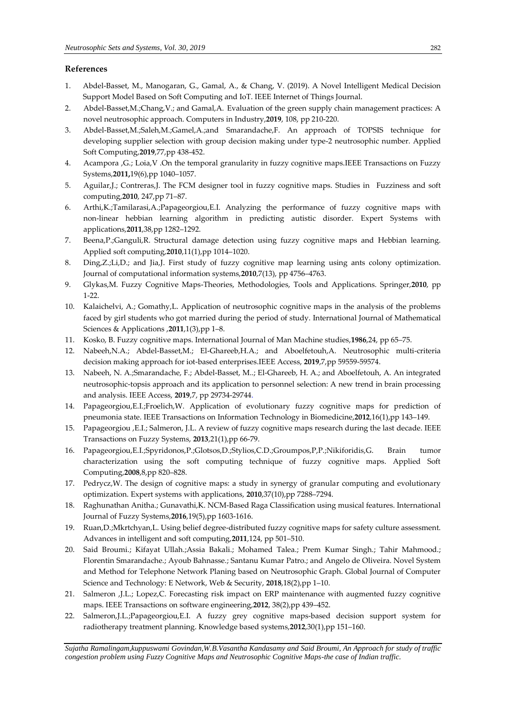# **References**

- 1. Abdel-Basset, M., Manogaran, G., Gamal, A., & Chang, V. (2019). A Novel Intelligent Medical Decision Support Model Based on Soft Computing and IoT. IEEE Internet of Things Journal.
- 2. Abdel-Basset,M.;Chang,V.; and Gamal,A. Evaluation of the green supply chain management practices: A novel neutrosophic approach. Computers in Industry,**2019**, 108, pp 210-220.
- 3. Abdel-Basset,M.;Saleh,M.;Gamel,A.;and Smarandache,F. An approach of TOPSIS technique for developing supplier selection with group decision making under type-2 neutrosophic number. Applied Soft Computing,**2019**,77,pp 438-452.
- 4. Acampora ,G.; Loia,V .On the temporal granularity in fuzzy cognitive maps.IEEE Transactions on Fuzzy Systems,**2011,**19(6),pp 1040–1057.
- 5. Aguilar,J.; Contreras,J. The FCM designer tool in fuzzy cognitive maps. Studies in Fuzziness and soft computing,**2010**, 247,pp 71–87.
- 6. Arthi,K.;Tamilarasi,A.;Papageorgiou,E.I. Analyzing the performance of fuzzy cognitive maps with non-linear hebbian learning algorithm in predicting autistic disorder. Expert Systems with applications,**2011**,38,pp 1282–1292.
- 7. Beena,P.;Ganguli,R. Structural damage detection using fuzzy cognitive maps and Hebbian learning. Applied soft computing,**2010**,11(1),pp 1014–1020.
- 8. Ding,Z.;Li,D.; and Jia,J. First study of fuzzy cognitive map learning using ants colony optimization. Journal of computational information systems,**2010**,7(13), pp 4756–4763.
- 9. Glykas,M. Fuzzy Cognitive Maps-Theories, Methodologies, Tools and Applications. Springer,**2010**, pp 1-22.
- 10. Kalaichelvi, A.; Gomathy,L. Application of neutrosophic cognitive maps in the analysis of the problems faced by girl students who got married during the period of study. [International Journal of Mathematical](https://www.researchgate.net/journal/2230-9888_International_Journal_of_Mathematical_Sciences_Applications)  [Sciences & Applications](https://www.researchgate.net/journal/2230-9888_International_Journal_of_Mathematical_Sciences_Applications) ,**2011**,1(3),pp 1–8.
- 11. Kosko, B. Fuzzy cognitive maps. International Journal of Man Machine studies,**1986**,24, pp 65–75.
- 12. Nabeeh,N.A.; Abdel-Basset,M.; El-Ghareeb,H.A.; and Aboelfetouh,A. Neutrosophic multi-criteria decision making approach for iot-based enterprises.IEEE Access, **2019**,7,pp 59559-59574.
- 13. Nabeeh, N. A.;Smarandache, F.; Abdel-Basset, M..; El-Ghareeb, H. A.; and Aboelfetouh, A. An integrated neutrosophic-topsis approach and its application to personnel selection: A new trend in brain processing and analysis. IEEE Access, **2019**,7, pp 29734-29744.
- 14. Papageorgiou,E.I.;Froelich,W. Application of evolutionary fuzzy cognitive maps for prediction of pneumonia state. IEEE Transactions on Information Technology in Biomedicine,**2012**,16(1),pp 143–149.
- 15. Papageorgiou ,E.I.; Salmeron, J.L. A review of fuzzy cognitive maps research during the last decade. IEEE Transactions on Fuzzy Systems, **2013**,21(1),pp 66-79.
- 16. Papageorgiou,E.I.;Spyridonos,P.;Glotsos,D.;Stylios,C.D.;Groumpos,P,P.;Nikiforidis,G. Brain tumor characterization using the soft computing technique of fuzzy cognitive maps. Applied Soft Computing,**2008**,8,pp 820–828.
- 17. Pedrycz,W. The design of cognitive maps: a study in synergy of granular computing and evolutionary optimization. Expert systems with applications, **2010**,37(10),pp 7288–7294.
- 18. Raghunathan Anitha.; Gunavathi,K. NCM-Based Raga Classification using musical features. International Journal of Fuzzy Systems,**2016**,19(5),pp 1603-1616.
- 19. Ruan,D.;Mkrtchyan,L. Using belief degree-distributed fuzzy cognitive maps for safety culture assessment. Advances in intelligent and soft computing,**2011**,124, pp 501–510.
- 20. Said Broumi.; Kifayat Ullah.;Assia Bakali.; Mohamed Talea.; Prem Kumar Singh.; Tahir Mahmood.; Florentin Smarandache.; Ayoub Bahnasse.; Santanu Kumar Patro.; and Angelo de Oliveira. Novel System and Method for Telephone Network Planing based on Neutrosophic Graph. Global Journal of Computer Science and Technology: E Network, Web & Security, **2018**,18(2),pp 1–10.
- 21. Salmeron ,J.L.; Lopez,C. Forecasting risk impact on ERP maintenance with augmented fuzzy cognitive maps. IEEE Transactions on software engineering,**2012**, 38(2),pp 439–452.
- 22. Salmeron,J.L.;Papageorgiou,E.I. A fuzzy grey cognitive maps-based decision support system for radiotherapy treatment planning. Knowledge based systems,**2012**,30(1),pp 151–160.